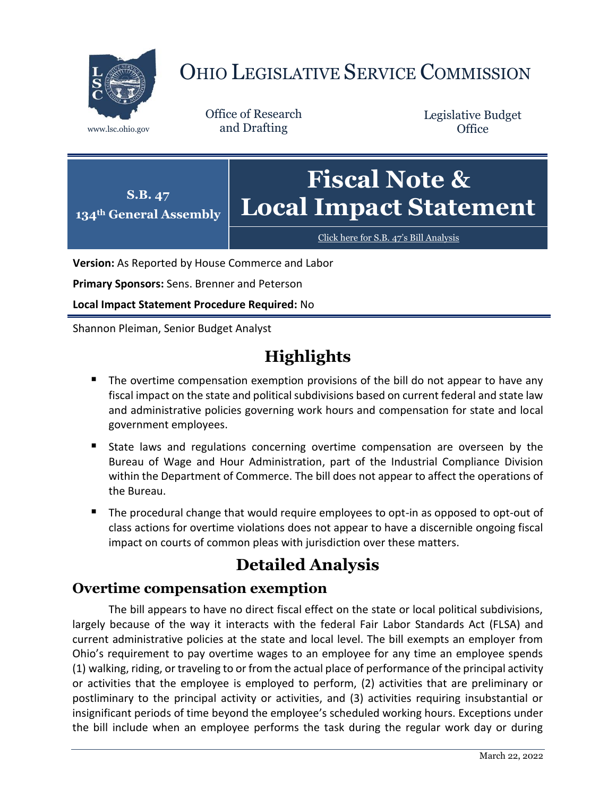

# OHIO LEGISLATIVE SERVICE COMMISSION

Office of Research www.lsc.ohio.gov and Drafting

Legislative Budget **Office** 



[Click here for S.B. 47](https://www.legislature.ohio.gov/legislation/legislation-documents?id=GA134-SB-47)'s Bill Analysis

**Version:** As Reported by House Commerce and Labor

**Primary Sponsors:** Sens. Brenner and Peterson

**Local Impact Statement Procedure Required:** No

Shannon Pleiman, Senior Budget Analyst

## **Highlights**

- The overtime compensation exemption provisions of the bill do not appear to have any fiscal impact on the state and political subdivisions based on current federal and state law and administrative policies governing work hours and compensation for state and local government employees.
- State laws and regulations concerning overtime compensation are overseen by the Bureau of Wage and Hour Administration, part of the Industrial Compliance Division within the Department of Commerce. The bill does not appear to affect the operations of the Bureau.
- The procedural change that would require employees to opt-in as opposed to opt-out of class actions for overtime violations does not appear to have a discernible ongoing fiscal impact on courts of common pleas with jurisdiction over these matters.

## **Detailed Analysis**

### **Overtime compensation exemption**

The bill appears to have no direct fiscal effect on the state or local political subdivisions, largely because of the way it interacts with the federal Fair Labor Standards Act (FLSA) and current administrative policies at the state and local level. The bill exempts an employer from Ohio's requirement to pay overtime wages to an employee for any time an employee spends (1) walking, riding, or traveling to or from the actual place of performance of the principal activity or activities that the employee is employed to perform, (2) activities that are preliminary or postliminary to the principal activity or activities, and (3) activities requiring insubstantial or insignificant periods of time beyond the employee's scheduled working hours. Exceptions under the bill include when an employee performs the task during the regular work day or during